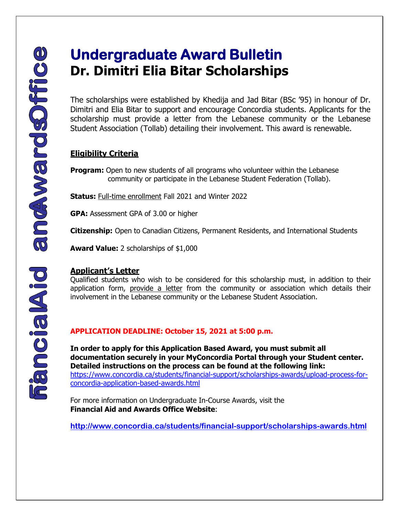# **Undergraduate Award Bulletin Dr. Dimitri Elia Bitar Scholarships**

The scholarships were established by Khedija and Jad Bitar (BSc '95) in honour of Dr. Dimitri and Elia Bitar to support and encourage Concordia students. Applicants for the scholarship must provide a letter from the Lebanese community or the Lebanese Student Association (Tollab) detailing their involvement. This award is renewable.

### **Eligibility Criteria**

**Program:** Open to new students of all programs who volunteer within the Lebanese community or participate in the Lebanese Student Federation (Tollab).

**Status:** Full-time enrollment Fall 2021 and Winter 2022

**GPA:** Assessment GPA of 3.00 or higher

**Citizenship:** Open to Canadian Citizens, Permanent Residents, and International Students

**Award Value:** 2 scholarships of \$1,000

#### **Applicant's Letter**

Qualified students who wish to be considered for this scholarship must, in addition to their application form, provide a letter from the community or association which details their involvement in the Lebanese community or the Lebanese Student Association.

#### **APPLICATION DEADLINE: October 15, 2021 at 5:00 p.m.**

[https://www.concordia.ca/students/financial-support/scholarships-awards/upload-process-for](https://www.concordia.ca/students/financial-support/scholarships-awards/upload-process-for-concordia-application-based-awards.html)[concordia-application-based-awards.html](https://www.concordia.ca/students/financial-support/scholarships-awards/upload-process-for-concordia-application-based-awards.html)  **In order to apply for this Application Based Award, you must submit all documentation securely in your MyConcordia Portal through your Student center. Detailed instructions on the process can be found at the following link:** 

For more information on Undergraduate In-Course Awards, visit the **Financial Aid and Awards Office Website**:

**<http://www.concordia.ca/students/financial-support/scholarships-awards.html>**